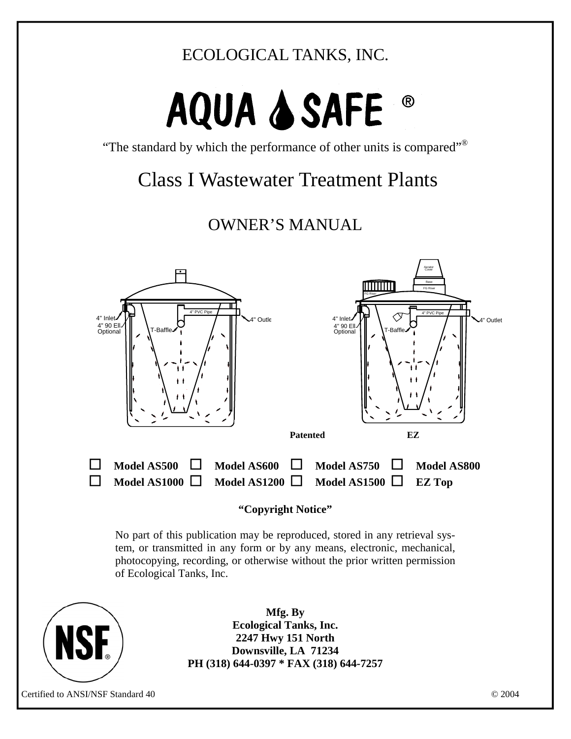## ECOLOGICAL TANKS, INC.

# AQUA & SAFE

"The standard by which the performance of other units is compared"®

## Class I Wastewater Treatment Plants

## OWNER'S MANUAL



#### **"Copyright Notice"**

No part of this publication may be reproduced, stored in any retrieval system, or transmitted in any form or by any means, electronic, mechanical, photocopying, recording, or otherwise without the prior written permission of Ecological Tanks, Inc.



**Mfg. By Ecological Tanks, Inc. 2247 Hwy 151 North Downsville, LA 71234 PH (318) 644-0397 \* FAX (318) 644-7257**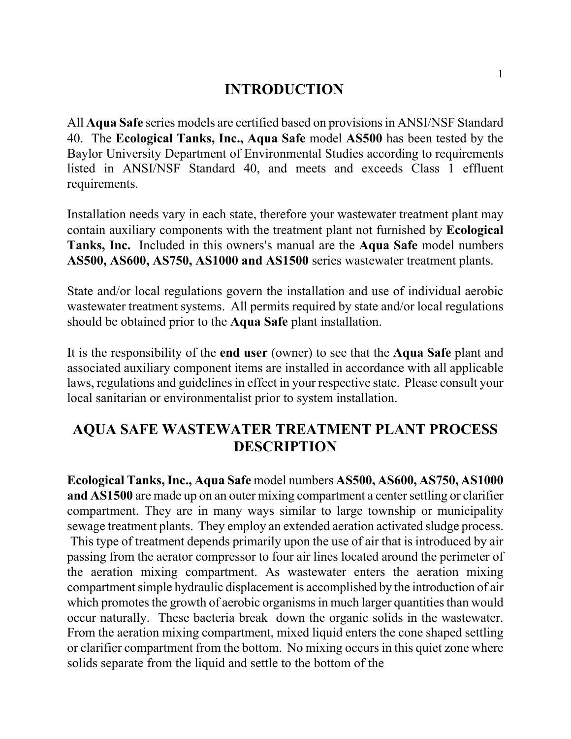#### **INTRODUCTION**

All **Aqua Safe** series models are certified based on provisions in ANSI/NSF Standard 40. The **Ecological Tanks, Inc., Aqua Safe** model **AS500** has been tested by the Baylor University Department of Environmental Studies according to requirements listed in ANSI/NSF Standard 40, and meets and exceeds Class 1 effluent requirements.

Installation needs vary in each state, therefore your wastewater treatment plant may contain auxiliary components with the treatment plant not furnished by **Ecological Tanks, Inc.** Included in this owners's manual are the **Aqua Safe** model numbers **AS500, AS600, AS750, AS1000 and AS1500** series wastewater treatment plants.

State and/or local regulations govern the installation and use of individual aerobic wastewater treatment systems. All permits required by state and/or local regulations should be obtained prior to the **Aqua Safe** plant installation.

It is the responsibility of the **end user** (owner) to see that the **Aqua Safe** plant and associated auxiliary component items are installed in accordance with all applicable laws, regulations and guidelines in effect in your respective state. Please consult your local sanitarian or environmentalist prior to system installation.

### **AQUA SAFE WASTEWATER TREATMENT PLANT PROCESS DESCRIPTION**

**Ecological Tanks, Inc., Aqua Safe** model numbers **AS500, AS600, AS750, AS1000 and AS1500** are made up on an outer mixing compartment a center settling or clarifier compartment. They are in many ways similar to large township or municipality sewage treatment plants. They employ an extended aeration activated sludge process. This type of treatment depends primarily upon the use of air that is introduced by air passing from the aerator compressor to four air lines located around the perimeter of the aeration mixing compartment. As wastewater enters the aeration mixing compartment simple hydraulic displacement is accomplished by the introduction of air which promotes the growth of aerobic organisms in much larger quantities than would occur naturally. These bacteria break down the organic solids in the wastewater. From the aeration mixing compartment, mixed liquid enters the cone shaped settling or clarifier compartment from the bottom. No mixing occurs in this quiet zone where solids separate from the liquid and settle to the bottom of the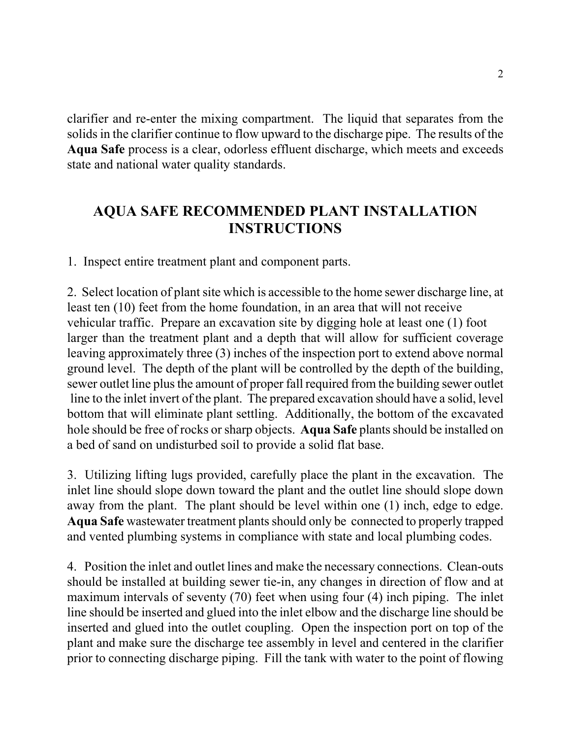clarifier and re-enter the mixing compartment. The liquid that separates from the solids in the clarifier continue to flow upward to the discharge pipe. The results of the **Aqua Safe** process is a clear, odorless effluent discharge, which meets and exceeds state and national water quality standards.

## **AQUA SAFE RECOMMENDED PLANT INSTALLATION INSTRUCTIONS**

1. Inspect entire treatment plant and component parts.

2. Select location of plant site which is accessible to the home sewer discharge line, at least ten (10) feet from the home foundation, in an area that will not receive vehicular traffic. Prepare an excavation site by digging hole at least one (1) foot larger than the treatment plant and a depth that will allow for sufficient coverage leaving approximately three (3) inches of the inspection port to extend above normal ground level. The depth of the plant will be controlled by the depth of the building, sewer outlet line plus the amount of proper fall required from the building sewer outlet line to the inlet invert of the plant. The prepared excavation should have a solid, level bottom that will eliminate plant settling. Additionally, the bottom of the excavated hole should be free of rocks or sharp objects. **Aqua Safe** plants should be installed on a bed of sand on undisturbed soil to provide a solid flat base.

3. Utilizing lifting lugs provided, carefully place the plant in the excavation. The inlet line should slope down toward the plant and the outlet line should slope down away from the plant. The plant should be level within one (1) inch, edge to edge. **Aqua Safe** wastewater treatment plants should only be connected to properly trapped and vented plumbing systems in compliance with state and local plumbing codes.

4. Position the inlet and outlet lines and make the necessary connections. Clean-outs should be installed at building sewer tie-in, any changes in direction of flow and at maximum intervals of seventy (70) feet when using four (4) inch piping. The inlet line should be inserted and glued into the inlet elbow and the discharge line should be inserted and glued into the outlet coupling. Open the inspection port on top of the plant and make sure the discharge tee assembly in level and centered in the clarifier prior to connecting discharge piping. Fill the tank with water to the point of flowing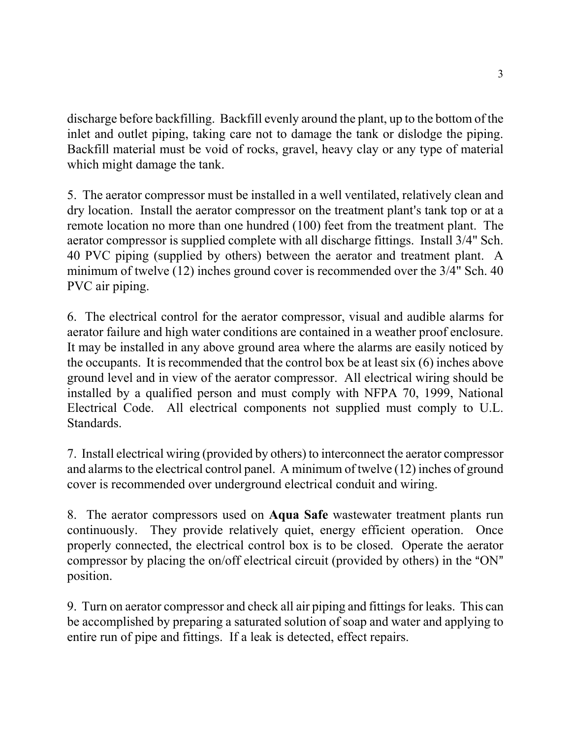discharge before backfilling. Backfill evenly around the plant, up to the bottom of the inlet and outlet piping, taking care not to damage the tank or dislodge the piping. Backfill material must be void of rocks, gravel, heavy clay or any type of material which might damage the tank.

5. The aerator compressor must be installed in a well ventilated, relatively clean and dry location. Install the aerator compressor on the treatment plant's tank top or at a remote location no more than one hundred (100) feet from the treatment plant. The aerator compressor is supplied complete with all discharge fittings. Install 3/4" Sch. 40 PVC piping (supplied by others) between the aerator and treatment plant. A minimum of twelve (12) inches ground cover is recommended over the 3/4" Sch. 40 PVC air piping.

6. The electrical control for the aerator compressor, visual and audible alarms for aerator failure and high water conditions are contained in a weather proof enclosure. It may be installed in any above ground area where the alarms are easily noticed by the occupants. It is recommended that the control box be at least six (6) inches above ground level and in view of the aerator compressor. All electrical wiring should be installed by a qualified person and must comply with NFPA 70, 1999, National Electrical Code. All electrical components not supplied must comply to U.L. Standards.

7. Install electrical wiring (provided by others) to interconnect the aerator compressor and alarms to the electrical control panel. A minimum of twelve (12) inches of ground cover is recommended over underground electrical conduit and wiring.

8. The aerator compressors used on **Aqua Safe** wastewater treatment plants run continuously. They provide relatively quiet, energy efficient operation. Once properly connected, the electrical control box is to be closed. Operate the aerator compressor by placing the on/off electrical circuit (provided by others) in the "ON" position.

9. Turn on aerator compressor and check all air piping and fittings for leaks. This can be accomplished by preparing a saturated solution of soap and water and applying to entire run of pipe and fittings. If a leak is detected, effect repairs.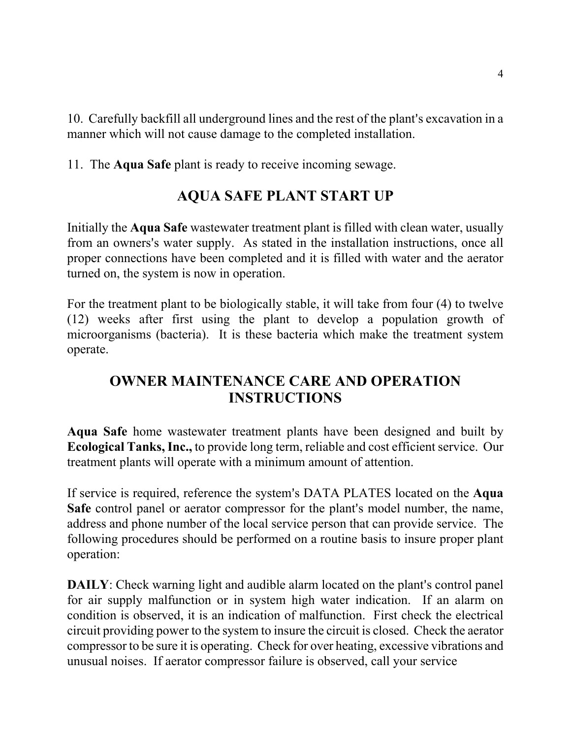10. Carefully backfill all underground lines and the rest of the plant's excavation in a manner which will not cause damage to the completed installation.

11. The **Aqua Safe** plant is ready to receive incoming sewage.

## **AQUA SAFE PLANT START UP**

Initially the **Aqua Safe** wastewater treatment plant is filled with clean water, usually from an owners's water supply. As stated in the installation instructions, once all proper connections have been completed and it is filled with water and the aerator turned on, the system is now in operation.

For the treatment plant to be biologically stable, it will take from four (4) to twelve (12) weeks after first using the plant to develop a population growth of microorganisms (bacteria). It is these bacteria which make the treatment system operate.

## **OWNER MAINTENANCE CARE AND OPERATION INSTRUCTIONS**

**Aqua Safe** home wastewater treatment plants have been designed and built by **Ecological Tanks, Inc.,** to provide long term, reliable and cost efficient service. Our treatment plants will operate with a minimum amount of attention.

If service is required, reference the system's DATA PLATES located on the **Aqua Safe** control panel or aerator compressor for the plant's model number, the name, address and phone number of the local service person that can provide service. The following procedures should be performed on a routine basis to insure proper plant operation:

**DAILY**: Check warning light and audible alarm located on the plant's control panel for air supply malfunction or in system high water indication. If an alarm on condition is observed, it is an indication of malfunction. First check the electrical circuit providing power to the system to insure the circuit is closed. Check the aerator compressor to be sure it is operating. Check for over heating, excessive vibrations and unusual noises. If aerator compressor failure is observed, call your service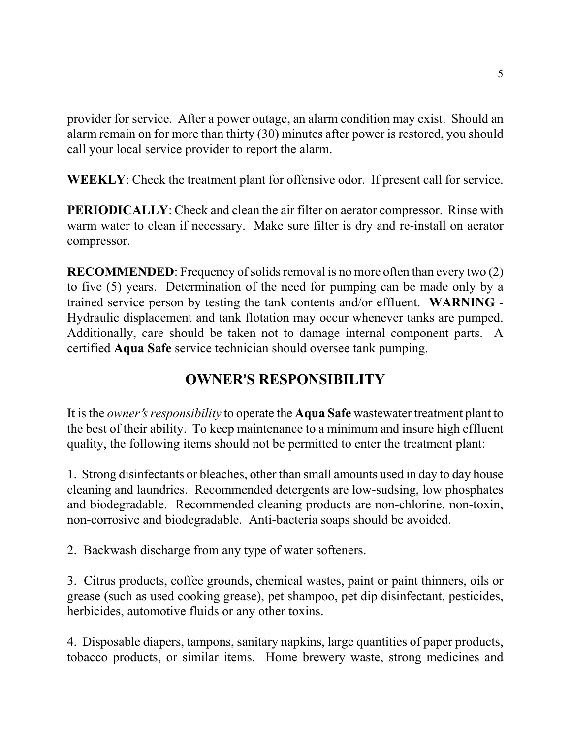provider for service. After a power outage, an alarm condition may exist. Should an alarm remain on for more than thirty (30) minutes after power is restored, you should call your local service provider to report the alarm.

**WEEKLY**: Check the treatment plant for offensive odor. If present call for service.

**PERIODICALLY:** Check and clean the air filter on aerator compressor. Rinse with warm water to clean if necessary. Make sure filter is dry and re-install on aerator compressor.

**RECOMMENDED**: Frequency of solids removal is no more often than every two (2) to five (5) years. Determination of the need for pumping can be made only by a trained service person by testing the tank contents and/or effluent. **WARNING** - Hydraulic displacement and tank flotation may occur whenever tanks are pumped. Additionally, care should be taken not to damage internal component parts. A certified **Aqua Safe** service technician should oversee tank pumping.

## **OWNER**=**S RESPONSIBILITY**

It is the *owner's responsibility* to operate the **Aqua Safe** wastewater treatment plant to the best of their ability. To keep maintenance to a minimum and insure high effluent quality, the following items should not be permitted to enter the treatment plant:

1. Strong disinfectants or bleaches, other than small amounts used in day to day house cleaning and laundries. Recommended detergents are low-sudsing, low phosphates and biodegradable. Recommended cleaning products are non-chlorine, non-toxin, non-corrosive and biodegradable. Anti-bacteria soaps should be avoided.

2. Backwash discharge from any type of water softeners.

3. Citrus products, coffee grounds, chemical wastes, paint or paint thinners, oils or grease (such as used cooking grease), pet shampoo, pet dip disinfectant, pesticides, herbicides, automotive fluids or any other toxins.

4. Disposable diapers, tampons, sanitary napkins, large quantities of paper products, tobacco products, or similar items. Home brewery waste, strong medicines and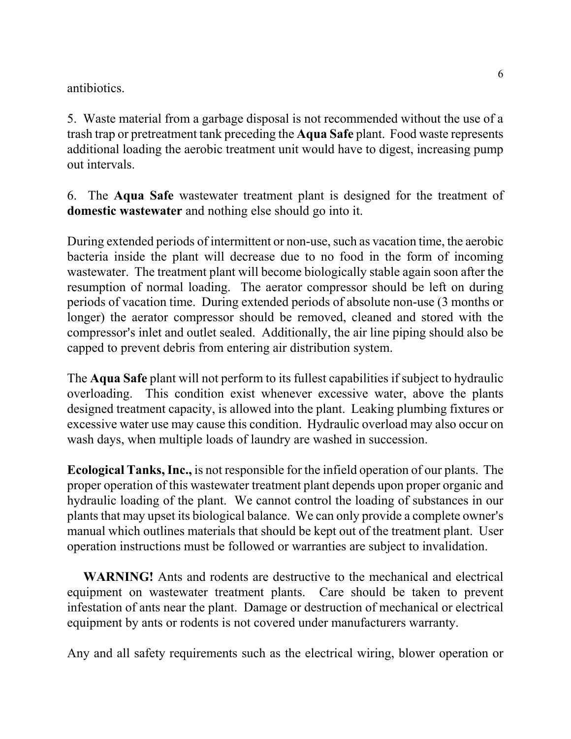antibiotics.

5. Waste material from a garbage disposal is not recommended without the use of a trash trap or pretreatment tank preceding the **Aqua Safe** plant. Food waste represents additional loading the aerobic treatment unit would have to digest, increasing pump out intervals.

6. The **Aqua Safe** wastewater treatment plant is designed for the treatment of **domestic wastewater** and nothing else should go into it.

During extended periods of intermittent or non-use, such as vacation time, the aerobic bacteria inside the plant will decrease due to no food in the form of incoming wastewater. The treatment plant will become biologically stable again soon after the resumption of normal loading. The aerator compressor should be left on during periods of vacation time. During extended periods of absolute non-use (3 months or longer) the aerator compressor should be removed, cleaned and stored with the compressor's inlet and outlet sealed. Additionally, the air line piping should also be capped to prevent debris from entering air distribution system.

The **Aqua Safe** plant will not perform to its fullest capabilities if subject to hydraulic overloading. This condition exist whenever excessive water, above the plants designed treatment capacity, is allowed into the plant. Leaking plumbing fixtures or excessive water use may cause this condition. Hydraulic overload may also occur on wash days, when multiple loads of laundry are washed in succession.

**Ecological Tanks, Inc.,** is not responsible for the infield operation of our plants. The proper operation of this wastewater treatment plant depends upon proper organic and hydraulic loading of the plant. We cannot control the loading of substances in our plants that may upset its biological balance. We can only provide a complete owner's manual which outlines materials that should be kept out of the treatment plant. User operation instructions must be followed or warranties are subject to invalidation.

 **WARNING!** Ants and rodents are destructive to the mechanical and electrical equipment on wastewater treatment plants. Care should be taken to prevent infestation of ants near the plant. Damage or destruction of mechanical or electrical equipment by ants or rodents is not covered under manufacturers warranty.

Any and all safety requirements such as the electrical wiring, blower operation or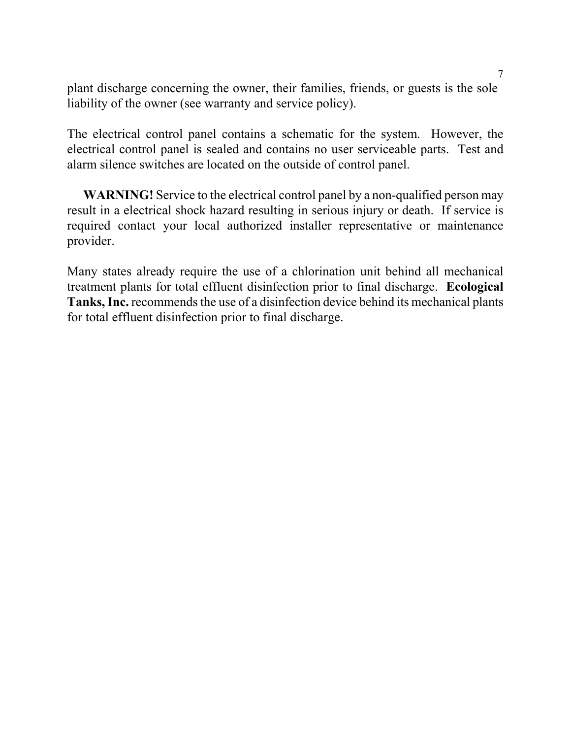plant discharge concerning the owner, their families, friends, or guests is the sole liability of the owner (see warranty and service policy).

The electrical control panel contains a schematic for the system. However, the electrical control panel is sealed and contains no user serviceable parts. Test and alarm silence switches are located on the outside of control panel.

 **WARNING!** Service to the electrical control panel by a non-qualified person may result in a electrical shock hazard resulting in serious injury or death. If service is required contact your local authorized installer representative or maintenance provider.

Many states already require the use of a chlorination unit behind all mechanical treatment plants for total effluent disinfection prior to final discharge. **Ecological Tanks, Inc.** recommends the use of a disinfection device behind its mechanical plants for total effluent disinfection prior to final discharge.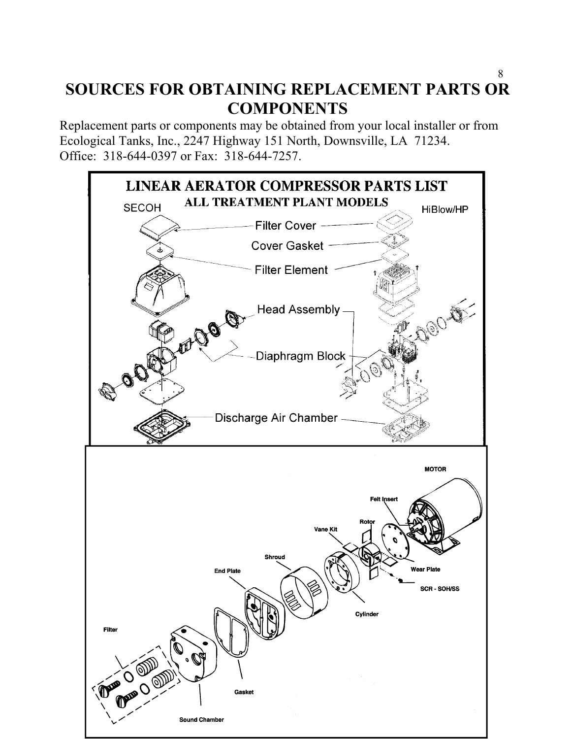#### 8 **SOURCES FOR OBTAINING REPLACEMENT PARTS OR COMPONENTS**

Replacement parts or components may be obtained from your local installer or from Ecological Tanks, Inc., 2247 Highway 151 North, Downsville, LA 71234. Office: 318-644-0397 or Fax: 318-644-7257.

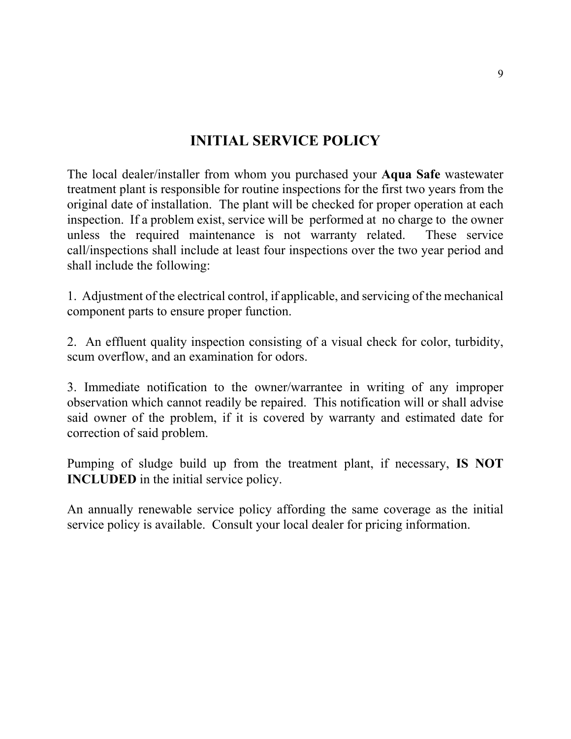### **INITIAL SERVICE POLICY**

The local dealer/installer from whom you purchased your **Aqua Safe** wastewater treatment plant is responsible for routine inspections for the first two years from the original date of installation. The plant will be checked for proper operation at each inspection. If a problem exist, service will be performed at no charge to the owner unless the required maintenance is not warranty related. These service call/inspections shall include at least four inspections over the two year period and shall include the following:

1. Adjustment of the electrical control, if applicable, and servicing of the mechanical component parts to ensure proper function.

2. An effluent quality inspection consisting of a visual check for color, turbidity, scum overflow, and an examination for odors.

3. Immediate notification to the owner/warrantee in writing of any improper observation which cannot readily be repaired. This notification will or shall advise said owner of the problem, if it is covered by warranty and estimated date for correction of said problem.

Pumping of sludge build up from the treatment plant, if necessary, **IS NOT INCLUDED** in the initial service policy.

An annually renewable service policy affording the same coverage as the initial service policy is available. Consult your local dealer for pricing information.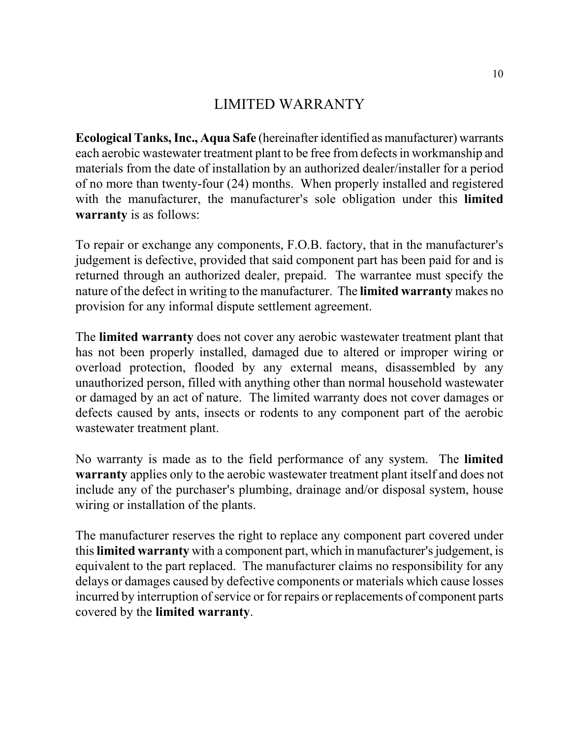#### LIMITED WARRANTY

**Ecological Tanks, Inc., Aqua Safe** (hereinafter identified as manufacturer) warrants each aerobic wastewater treatment plant to be free from defects in workmanship and materials from the date of installation by an authorized dealer/installer for a period of no more than twenty-four (24) months. When properly installed and registered with the manufacturer, the manufacturer's sole obligation under this **limited warranty** is as follows:

To repair or exchange any components, F.O.B. factory, that in the manufacturer's judgement is defective, provided that said component part has been paid for and is returned through an authorized dealer, prepaid. The warrantee must specify the nature of the defect in writing to the manufacturer. The **limited warranty** makes no provision for any informal dispute settlement agreement.

The **limited warranty** does not cover any aerobic wastewater treatment plant that has not been properly installed, damaged due to altered or improper wiring or overload protection, flooded by any external means, disassembled by any unauthorized person, filled with anything other than normal household wastewater or damaged by an act of nature. The limited warranty does not cover damages or defects caused by ants, insects or rodents to any component part of the aerobic wastewater treatment plant.

No warranty is made as to the field performance of any system. The **limited warranty** applies only to the aerobic wastewater treatment plant itself and does not include any of the purchaser's plumbing, drainage and/or disposal system, house wiring or installation of the plants.

The manufacturer reserves the right to replace any component part covered under this **limited warranty** with a component part, which in manufacturer's judgement, is equivalent to the part replaced. The manufacturer claims no responsibility for any delays or damages caused by defective components or materials which cause losses incurred by interruption of service or for repairs or replacements of component parts covered by the **limited warranty**.